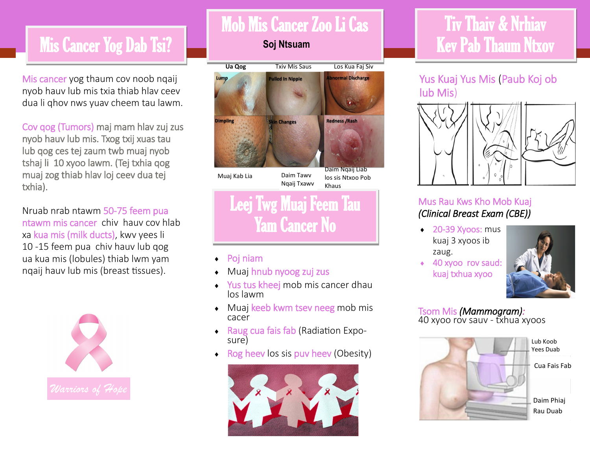## **Mis Cancer Yog Dab Tsi?**

Mis cancer yog thaum cov noob nqaij nyob hauv lub mis txia thiab hlav ceev dua li qhov nws yuav cheem tau lawm.

Cov qog (Tumors) maj mam hlav zuj zus nyob hauv lub mis. Txog txij xuas tau lub qog ces tej zaum twb muaj nyob tshaj li 10 xyoo lawm. (Tej txhia qog muaj zog thiab hlav loj ceev dua tej txhia).

Nruab nrab ntawm 50-75 feem pua ntawm mis cancer chiv hauv cov hlab xa kua mis (milk ducts), kwv yees li 10 -15 feem pua chiv hauv lub qog ua kua mis (lobules) thiab lwm yam nqaij hauv lub mis (breast tissues).



## Mob Mis Cancer Zoo Li Cas

**Soj Ntsuam**



- Poj niam
- Muaj hnub nyoog zuj zus
- ◆ Yus tus kheej mob mis cancer dhau los lawm
- Muaj keeb kwm tsev neeg mob mis cacer
- ◆ Raug cua fais fab (Radiation Exposure)
- $\cdot$  Rog heev los sis puv heev (Obesity)



## Tiv Thaiv & Nrhiav Kev Pab Thaum Ntxov

### Yus Kuaj Yus Mis (Paub Koj ob lub Mis)



#### Mus Rau Kws Kho Mob Kuaj *(Clinical Breast Exam (CBE))*

- ◆ 20-39 Xyoos: mus kuaj 3 xyoos ib zaug.
- 40 xyoo rov saud: kuaj txhua xyoo



## Tsom Mis *(Mammogram):*

40 xyoo rov sauv - txhua xyoos



Yees Duab

Cua Fais Fab

Daim Phiaj Rau Duab